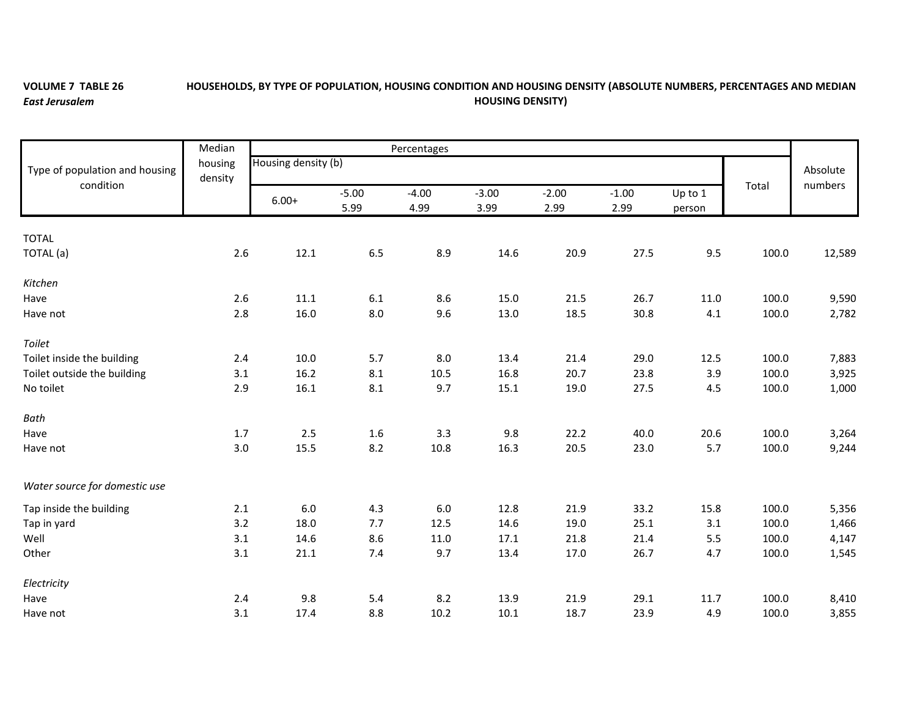## **VOLUME 7 TABLE 26** *East Jerusalem*

## **HOUSEHOLDS, BY TYPE OF POPULATION, HOUSING CONDITION AND HOUSING DENSITY (ABSOLUTE NUMBERS, PERCENTAGES AND MEDIAN HOUSING DENSITY)**

|                                             | Median<br>housing<br>density | Percentages         |         |         |         |         |         |         |       |          |
|---------------------------------------------|------------------------------|---------------------|---------|---------|---------|---------|---------|---------|-------|----------|
| Type of population and housing<br>condition |                              | Housing density (b) |         |         |         |         |         |         |       | Absolute |
|                                             |                              |                     | $-5.00$ | $-4.00$ | $-3.00$ | $-2.00$ | $-1.00$ | Up to 1 | Total | numbers  |
|                                             |                              | $6.00+$             | 5.99    | 4.99    | 3.99    | 2.99    | 2.99    | person  |       |          |
|                                             |                              |                     |         |         |         |         |         |         |       |          |
| <b>TOTAL</b>                                |                              |                     |         |         |         |         |         |         |       |          |
| TOTAL (a)                                   | 2.6                          | 12.1                | 6.5     | 8.9     | 14.6    | 20.9    | 27.5    | 9.5     | 100.0 | 12,589   |
| Kitchen                                     |                              |                     |         |         |         |         |         |         |       |          |
| Have                                        | 2.6                          | 11.1                | $6.1\,$ | 8.6     | 15.0    | 21.5    | 26.7    | 11.0    | 100.0 | 9,590    |
| Have not                                    | 2.8                          | 16.0                | 8.0     | 9.6     | 13.0    | 18.5    | 30.8    | 4.1     | 100.0 | 2,782    |
| Toilet                                      |                              |                     |         |         |         |         |         |         |       |          |
| Toilet inside the building                  | 2.4                          | 10.0                | 5.7     | 8.0     | 13.4    | 21.4    | 29.0    | 12.5    | 100.0 | 7,883    |
| Toilet outside the building                 | 3.1                          | 16.2                | 8.1     | 10.5    | 16.8    | 20.7    | 23.8    | 3.9     | 100.0 | 3,925    |
| No toilet                                   | 2.9                          | 16.1                | $8.1\,$ | 9.7     | 15.1    | 19.0    | 27.5    | 4.5     | 100.0 | 1,000    |
| Bath                                        |                              |                     |         |         |         |         |         |         |       |          |
| Have                                        | 1.7                          | 2.5                 | 1.6     | 3.3     | 9.8     | 22.2    | 40.0    | 20.6    | 100.0 | 3,264    |
| Have not                                    | 3.0                          | 15.5                | 8.2     | 10.8    | 16.3    | 20.5    | 23.0    | 5.7     | 100.0 | 9,244    |
| Water source for domestic use               |                              |                     |         |         |         |         |         |         |       |          |
| Tap inside the building                     | 2.1                          | 6.0                 | 4.3     | 6.0     | 12.8    | 21.9    | 33.2    | 15.8    | 100.0 | 5,356    |
| Tap in yard                                 | 3.2                          | 18.0                | 7.7     | 12.5    | 14.6    | 19.0    | 25.1    | 3.1     | 100.0 | 1,466    |
| Well                                        | 3.1                          | 14.6                | 8.6     | 11.0    | 17.1    | 21.8    | 21.4    | 5.5     | 100.0 | 4,147    |
| Other                                       | 3.1                          | 21.1                | 7.4     | 9.7     | 13.4    | 17.0    | 26.7    | 4.7     | 100.0 | 1,545    |
| Electricity                                 |                              |                     |         |         |         |         |         |         |       |          |
| Have                                        | 2.4                          | 9.8                 | 5.4     | 8.2     | 13.9    | 21.9    | 29.1    | 11.7    | 100.0 | 8,410    |
| Have not                                    | 3.1                          | 17.4                | 8.8     | 10.2    | 10.1    | 18.7    | 23.9    | 4.9     | 100.0 | 3,855    |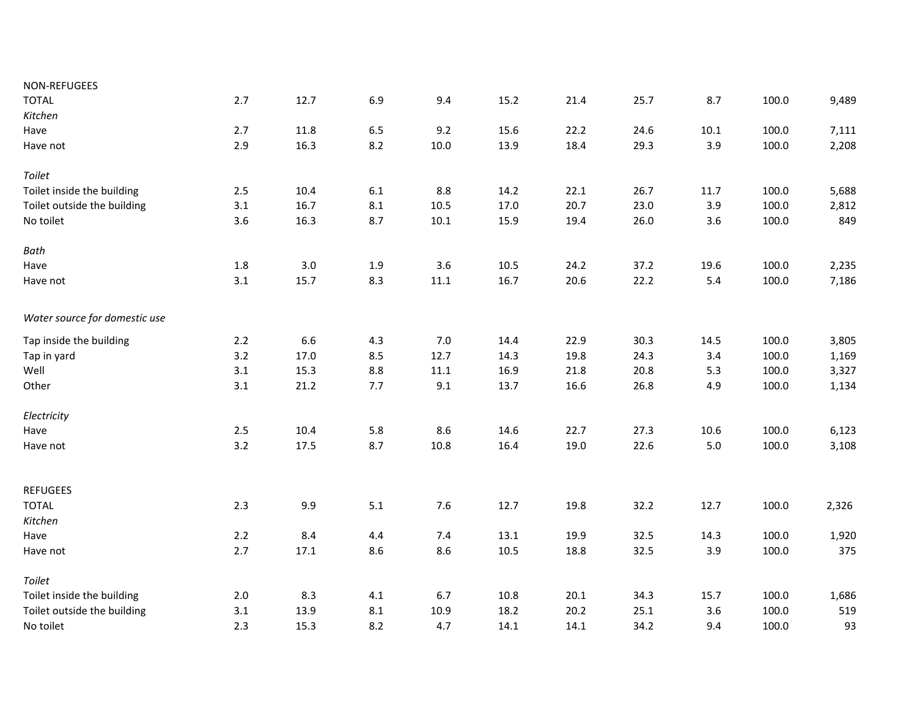| NON-REFUGEES                  |         |      |         |          |          |      |      |          |       |       |
|-------------------------------|---------|------|---------|----------|----------|------|------|----------|-------|-------|
| <b>TOTAL</b>                  | 2.7     | 12.7 | 6.9     | 9.4      | 15.2     | 21.4 | 25.7 | 8.7      | 100.0 | 9,489 |
| Kitchen                       |         |      |         |          |          |      |      |          |       |       |
| Have                          | 2.7     | 11.8 | $6.5\,$ | 9.2      | 15.6     | 22.2 | 24.6 | $10.1\,$ | 100.0 | 7,111 |
| Have not                      | 2.9     | 16.3 | 8.2     | 10.0     | 13.9     | 18.4 | 29.3 | 3.9      | 100.0 | 2,208 |
| Toilet                        |         |      |         |          |          |      |      |          |       |       |
| Toilet inside the building    | 2.5     | 10.4 | 6.1     | 8.8      | 14.2     | 22.1 | 26.7 | 11.7     | 100.0 | 5,688 |
| Toilet outside the building   | 3.1     | 16.7 | 8.1     | 10.5     | 17.0     | 20.7 | 23.0 | 3.9      | 100.0 | 2,812 |
| No toilet                     | 3.6     | 16.3 | 8.7     | $10.1\,$ | 15.9     | 19.4 | 26.0 | 3.6      | 100.0 | 849   |
| Bath                          |         |      |         |          |          |      |      |          |       |       |
| Have                          | $1.8\,$ | 3.0  | 1.9     | 3.6      | $10.5\,$ | 24.2 | 37.2 | 19.6     | 100.0 | 2,235 |
| Have not                      | 3.1     | 15.7 | 8.3     | 11.1     | 16.7     | 20.6 | 22.2 | 5.4      | 100.0 | 7,186 |
| Water source for domestic use |         |      |         |          |          |      |      |          |       |       |
| Tap inside the building       | 2.2     | 6.6  | 4.3     | 7.0      | 14.4     | 22.9 | 30.3 | 14.5     | 100.0 | 3,805 |
| Tap in yard                   | 3.2     | 17.0 | 8.5     | 12.7     | 14.3     | 19.8 | 24.3 | 3.4      | 100.0 | 1,169 |
| Well                          | 3.1     | 15.3 | $8.8\,$ | $11.1\,$ | 16.9     | 21.8 | 20.8 | 5.3      | 100.0 | 3,327 |
| Other                         | 3.1     | 21.2 | 7.7     | 9.1      | 13.7     | 16.6 | 26.8 | 4.9      | 100.0 | 1,134 |
| Electricity                   |         |      |         |          |          |      |      |          |       |       |
| Have                          | 2.5     | 10.4 | 5.8     | 8.6      | 14.6     | 22.7 | 27.3 | 10.6     | 100.0 | 6,123 |
| Have not                      | 3.2     | 17.5 | 8.7     | 10.8     | 16.4     | 19.0 | 22.6 | $5.0$    | 100.0 | 3,108 |
| <b>REFUGEES</b>               |         |      |         |          |          |      |      |          |       |       |
| <b>TOTAL</b>                  | 2.3     | 9.9  | 5.1     | 7.6      | 12.7     | 19.8 | 32.2 | 12.7     | 100.0 | 2,326 |
| Kitchen                       |         |      |         |          |          |      |      |          |       |       |
| Have                          | 2.2     | 8.4  | 4.4     | 7.4      | 13.1     | 19.9 | 32.5 | 14.3     | 100.0 | 1,920 |
| Have not                      | 2.7     | 17.1 | 8.6     | 8.6      | 10.5     | 18.8 | 32.5 | 3.9      | 100.0 | 375   |
| Toilet                        |         |      |         |          |          |      |      |          |       |       |
| Toilet inside the building    | 2.0     | 8.3  | 4.1     | 6.7      | 10.8     | 20.1 | 34.3 | 15.7     | 100.0 | 1,686 |
| Toilet outside the building   | 3.1     | 13.9 | 8.1     | 10.9     | 18.2     | 20.2 | 25.1 | 3.6      | 100.0 | 519   |
| No toilet                     | 2.3     | 15.3 | 8.2     | 4.7      | 14.1     | 14.1 | 34.2 | 9.4      | 100.0 | 93    |